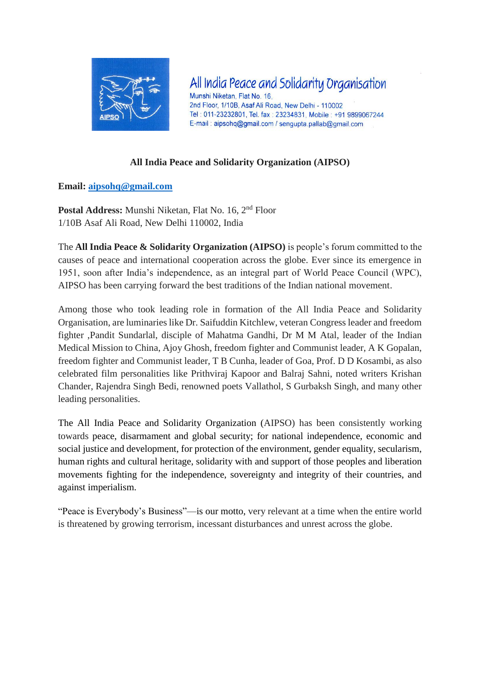

All India Peace and Solidarity Organisation Munshi Niketan, Flat No. 16. 2nd Floor, 1/10B, Asaf Ali Road, New Delhi - 110002 Tel: 011-23232801, Tel. fax: 23234831, Mobile: +91 9899067244 E-mail: aipsohq@gmail.com / sengupta.pallab@gmail.com

## **All India Peace and Solidarity Organization (AIPSO)**

### **Email: [aipsohq@gmail.com](mailto:aipsohq@gmail.com)**

**Postal Address:** Munshi Niketan, Flat No. 16, 2nd Floor 1/10B Asaf Ali Road, New Delhi 110002, India

The **All India Peace & Solidarity Organization (AIPSO)** is people's forum committed to the causes of peace and international cooperation across the globe. Ever since its emergence in 1951, soon after India's independence, as an integral part of World Peace Council (WPC), AIPSO has been carrying forward the best traditions of the Indian national movement.

Among those who took leading role in formation of the All India Peace and Solidarity Organisation, are luminaries like Dr. Saifuddin Kitchlew, veteran Congress leader and freedom fighter ,Pandit Sundarlal, disciple of Mahatma Gandhi, Dr M M Atal, leader of the Indian Medical Mission to China, Ajoy Ghosh, freedom fighter and Communist leader, A K Gopalan, freedom fighter and Communist leader, T B Cunha, leader of Goa, Prof. D D Kosambi, as also celebrated film personalities like Prithviraj Kapoor and Balraj Sahni, noted writers Krishan Chander, Rajendra Singh Bedi, renowned poets Vallathol, S Gurbaksh Singh, and many other leading personalities.

The All India Peace and Solidarity Organization (AIPSO) has been consistently working towards peace, disarmament and global security; for national independence, economic and social justice and development, for protection of the environment, gender equality, secularism, human rights and cultural heritage, solidarity with and support of those peoples and liberation movements fighting for the independence, sovereignty and integrity of their countries, and against imperialism.

"Peace is Everybody's Business"—is our motto, very relevant at a time when the entire world is threatened by growing terrorism, incessant disturbances and unrest across the globe.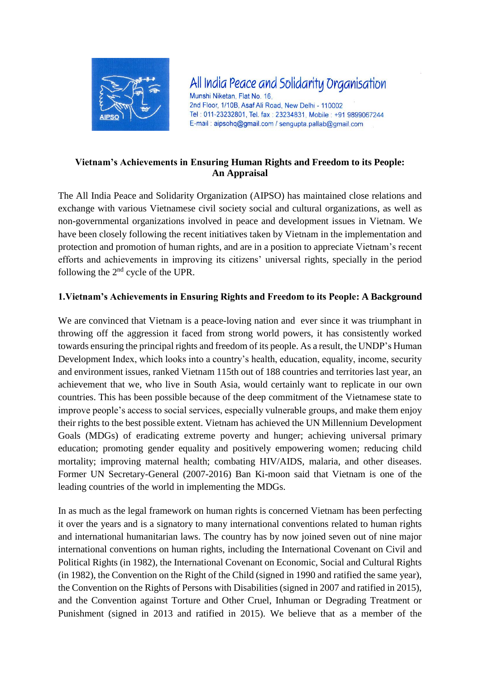

All India Peace and Solidarity Organisation Munshi Niketan, Flat No. 16. 2nd Floor, 1/10B, Asaf Ali Road, New Delhi - 110002 Tel: 011-23232801, Tel. fax: 23234831, Mobile: +91 9899067244 E-mail: aipsohq@gmail.com / sengupta.pallab@gmail.com

### **Vietnam's Achievements in Ensuring Human Rights and Freedom to its People: An Appraisal**

The All India Peace and Solidarity Organization (AIPSO) has maintained close relations and exchange with various Vietnamese civil society social and cultural organizations, as well as non-governmental organizations involved in peace and development issues in Vietnam. We have been closely following the recent initiatives taken by Vietnam in the implementation and protection and promotion of human rights, and are in a position to appreciate Vietnam's recent efforts and achievements in improving its citizens' universal rights, specially in the period following the 2nd cycle of the UPR.

### **1.Vietnam's Achievements in Ensuring Rights and Freedom to its People: A Background**

We are convinced that Vietnam is a peace-loving nation and ever since it was triumphant in throwing off the aggression it faced from strong world powers, it has consistently worked towards ensuring the principal rights and freedom of its people. As a result, the UNDP's Human Development Index, which looks into a country's health, education, equality, income, security and environment issues, ranked Vietnam 115th out of 188 countries and territories last year, an achievement that we, who live in South Asia, would certainly want to replicate in our own countries. This has been possible because of the deep commitment of the Vietnamese state to improve people's access to social services, especially vulnerable groups, and make them enjoy their rights to the best possible extent. Vietnam has achieved the UN Millennium Development Goals (MDGs) of eradicating extreme poverty and hunger; achieving universal primary education; promoting gender equality and positively empowering women; reducing child mortality; improving maternal health; combating HIV/AIDS, malaria, and other diseases. Former UN Secretary-General (2007-2016) Ban Ki-moon said that Vietnam is one of the leading countries of the world in implementing the MDGs.

In as much as the legal framework on human rights is concerned Vietnam has been perfecting it over the years and is a signatory to many international conventions related to human rights and international humanitarian laws. The country has by now joined seven out of nine major international conventions on human rights, including the International Covenant on Civil and Political Rights (in 1982), the International Covenant on Economic, Social and Cultural Rights (in 1982), the Convention on the Right of the Child (signed in 1990 and ratified the same year), the Convention on the Rights of Persons with Disabilities (signed in 2007 and ratified in 2015), and the Convention against Torture and Other Cruel, Inhuman or Degrading Treatment or Punishment (signed in 2013 and ratified in 2015). We believe that as a member of the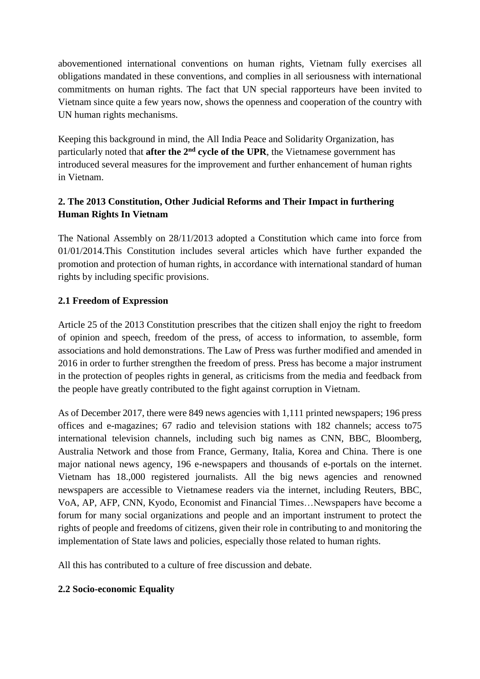abovementioned international conventions on human rights, Vietnam fully exercises all obligations mandated in these conventions, and complies in all seriousness with international commitments on human rights. The fact that UN special rapporteurs have been invited to Vietnam since quite a few years now, shows the openness and cooperation of the country with UN human rights mechanisms.

Keeping this background in mind, the All India Peace and Solidarity Organization, has particularly noted that **after the 2nd cycle of the UPR**, the Vietnamese government has introduced several measures for the improvement and further enhancement of human rights in Vietnam.

# **2. The 2013 Constitution, Other Judicial Reforms and Their Impact in furthering Human Rights In Vietnam**

The National Assembly on 28/11/2013 adopted a Constitution which came into force from 01/01/2014.This Constitution includes several articles which have further expanded the promotion and protection of human rights, in accordance with international standard of human rights by including specific provisions.

# **2.1 Freedom of Expression**

Article 25 of the 2013 Constitution prescribes that the citizen shall enjoy the right to freedom of opinion and speech, freedom of the press, of access to information, to assemble, form associations and hold demonstrations. The Law of Press was further modified and amended in 2016 in order to further strengthen the freedom of press. Press has become a major instrument in the protection of peoples rights in general, as criticisms from the media and feedback from the people have greatly contributed to the fight against corruption in Vietnam.

As of December 2017, there were 849 news agencies with 1,111 printed newspapers; 196 press offices and e-magazines; 67 radio and television stations with 182 channels; access to75 international television channels, including such big names as CNN, BBC, Bloomberg, Australia Network and those from France, Germany, Italia, Korea and China. There is one major national news agency, 196 e-newspapers and thousands of e-portals on the internet. Vietnam has 18.,000 registered journalists. All the big news agencies and renowned newspapers are accessible to Vietnamese readers via the internet, including Reuters, BBC, VoA, AP, AFP, CNN, Kyodo, Economist and Financial Times…Newspapers have become a forum for many social organizations and people and an important instrument to protect the rights of people and freedoms of citizens, given their role in contributing to and monitoring the implementation of State laws and policies, especially those related to human rights.

All this has contributed to a culture of free discussion and debate.

# **2.2 Socio-economic Equality**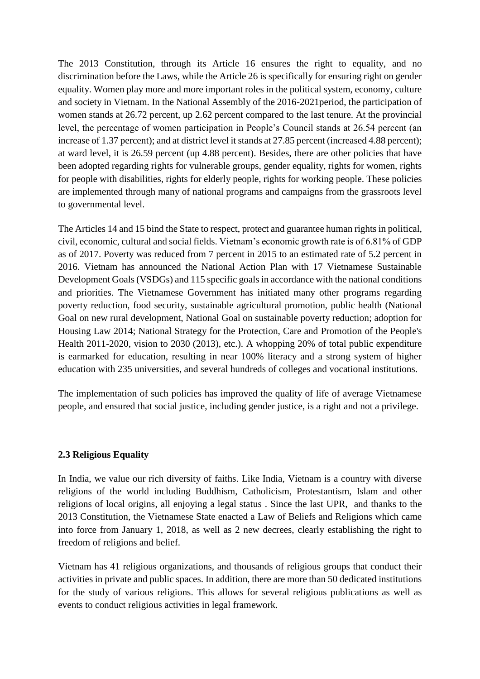The 2013 Constitution, through its Article 16 ensures the right to equality, and no discrimination before the Laws, while the Article 26 is specifically for ensuring right on gender equality. Women play more and more important roles in the political system, economy, culture and society in Vietnam. In the National Assembly of the 2016-2021period, the participation of women stands at 26.72 percent, up 2.62 percent compared to the last tenure. At the provincial level, the percentage of women participation in People's Council stands at 26.54 percent (an increase of 1.37 percent); and at district level it stands at 27.85 percent (increased 4.88 percent); at ward level, it is 26.59 percent (up 4.88 percent). Besides, there are other policies that have been adopted regarding rights for vulnerable groups, gender equality, rights for women, rights for people with disabilities, rights for elderly people, rights for working people. These policies are implemented through many of national programs and campaigns from the grassroots level to governmental level.

The Articles 14 and 15 bind the State to respect, protect and guarantee human rights in political, civil, economic, cultural and social fields. Vietnam's economic growth rate is of 6.81% of GDP as of 2017. Poverty was reduced from 7 percent in 2015 to an estimated rate of 5.2 percent in 2016. Vietnam has announced the National Action Plan with 17 Vietnamese Sustainable Development Goals (VSDGs) and 115 specific goals in accordance with the national conditions and priorities. The Vietnamese Government has initiated many other programs regarding poverty reduction, food security, sustainable agricultural promotion, public health (National Goal on new rural development, National Goal on sustainable poverty reduction; adoption for Housing Law 2014; National Strategy for the Protection, Care and Promotion of the People's Health 2011-2020, vision to 2030 (2013), etc.). A whopping 20% of total public expenditure is earmarked for education, resulting in near 100% literacy and a strong system of higher education with 235 universities, and several hundreds of colleges and vocational institutions.

The implementation of such policies has improved the quality of life of average Vietnamese people, and ensured that social justice, including gender justice, is a right and not a privilege.

### **2.3 Religious Equality**

In India, we value our rich diversity of faiths. Like India, Vietnam is a country with diverse religions of the world including Buddhism, Catholicism, Protestantism, Islam and other religions of local origins, all enjoying a legal status . Since the last UPR, and thanks to the 2013 Constitution, the Vietnamese State enacted a Law of Beliefs and Religions which came into force from January 1, 2018, as well as 2 new decrees, clearly establishing the right to freedom of religions and belief.

Vietnam has 41 religious organizations, and thousands of religious groups that conduct their activities in private and public spaces. In addition, there are more than 50 dedicated institutions for the study of various religions. This allows for several religious publications as well as events to conduct religious activities in legal framework.